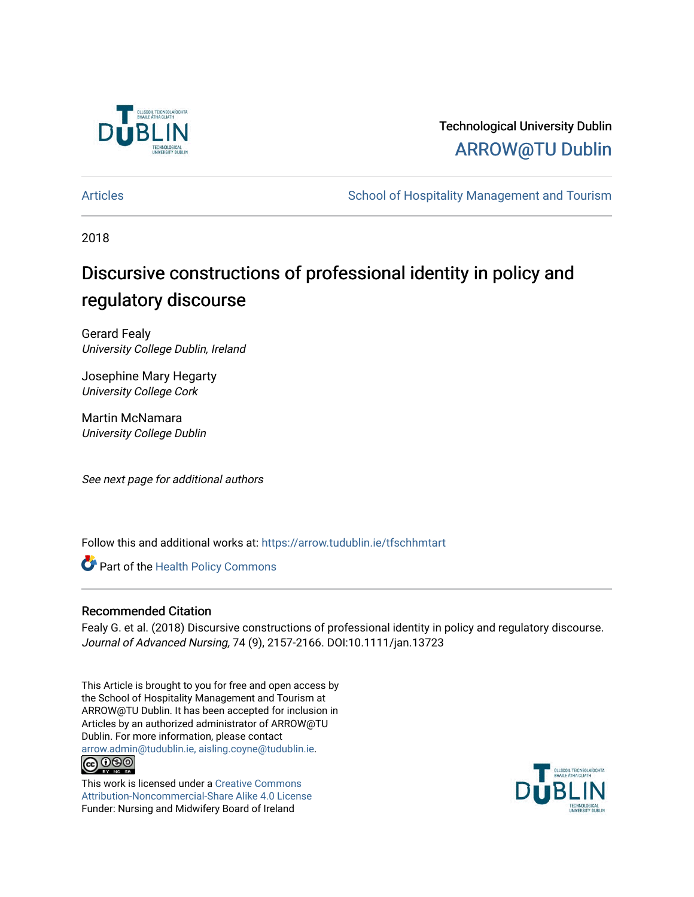

# Technological University Dublin [ARROW@TU Dublin](https://arrow.tudublin.ie/)

[Articles](https://arrow.tudublin.ie/tfschhmtart) **School of Hospitality Management and Tourism** School of Hospitality Management and Tourism

2018

# Discursive constructions of professional identity in policy and regulatory discourse

Gerard Fealy University College Dublin, Ireland

Josephine Mary Hegarty University College Cork

Martin McNamara University College Dublin

See next page for additional authors

Follow this and additional works at: [https://arrow.tudublin.ie/tfschhmtart](https://arrow.tudublin.ie/tfschhmtart?utm_source=arrow.tudublin.ie%2Ftfschhmtart%2F85&utm_medium=PDF&utm_campaign=PDFCoverPages) 

Part of the [Health Policy Commons](http://network.bepress.com/hgg/discipline/395?utm_source=arrow.tudublin.ie%2Ftfschhmtart%2F85&utm_medium=PDF&utm_campaign=PDFCoverPages)

# Recommended Citation

Fealy G. et al. (2018) Discursive constructions of professional identity in policy and regulatory discourse. Journal of Advanced Nursing, 74 (9), 2157-2166. DOI:10.1111/jan.13723

This Article is brought to you for free and open access by the School of Hospitality Management and Tourism at ARROW@TU Dublin. It has been accepted for inclusion in Articles by an authorized administrator of ARROW@TU Dublin. For more information, please contact [arrow.admin@tudublin.ie, aisling.coyne@tudublin.ie](mailto:arrow.admin@tudublin.ie,%20aisling.coyne@tudublin.ie). **@@@** 

This work is licensed under a [Creative Commons](http://creativecommons.org/licenses/by-nc-sa/4.0/) [Attribution-Noncommercial-Share Alike 4.0 License](http://creativecommons.org/licenses/by-nc-sa/4.0/) Funder: Nursing and Midwifery Board of Ireland

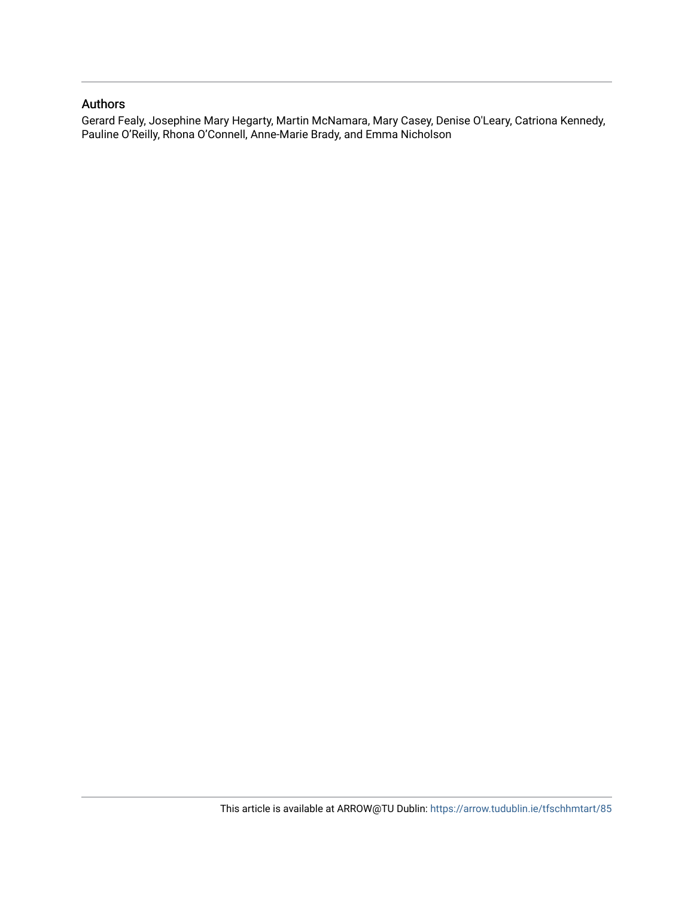#### Authors

Gerard Fealy, Josephine Mary Hegarty, Martin McNamara, Mary Casey, Denise O'Leary, Catriona Kennedy, Pauline O'Reilly, Rhona O'Connell, Anne-Marie Brady, and Emma Nicholson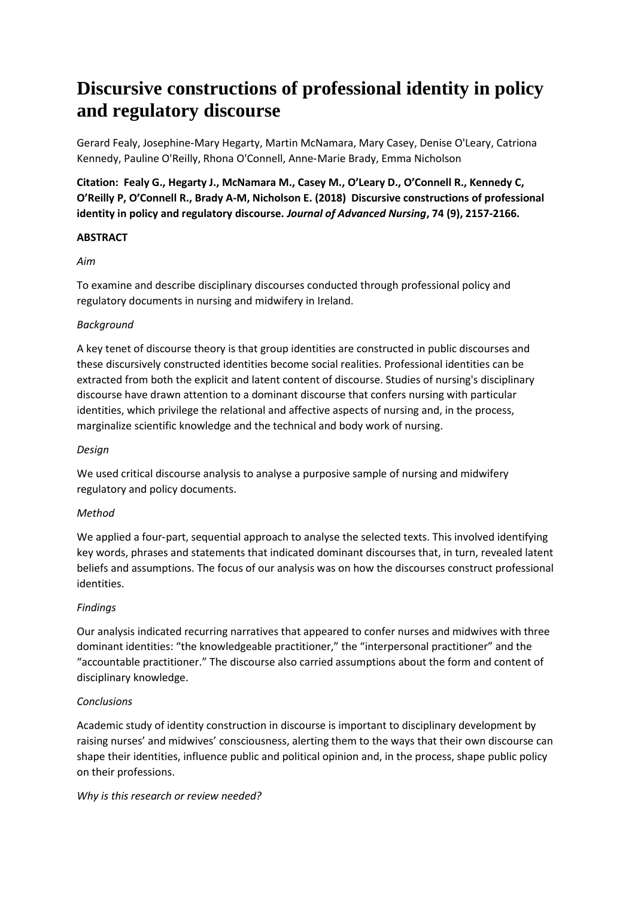# **Discursive constructions of professional identity in policy and regulatory discourse**

Gerard Fealy, Josephine‐Mary Hegarty, Martin McNamara, Mary Casey, Denise O'Leary, Catriona Kennedy, Pauline O'Reilly, Rhona O'Connell, Anne‐Marie Brady, Emma Nicholson

**Citation: Fealy G., Hegarty J., McNamara M., Casey M., O'Leary D., O'Connell R., Kennedy C, O'Reilly P, O'Connell R., Brady A-M, Nicholson E. (2018) Discursive constructions of professional identity in policy and regulatory discourse.** *Journal of Advanced Nursing***, 74 (9), 2157-2166.**

#### **ABSTRACT**

#### *Aim*

To examine and describe disciplinary discourses conducted through professional policy and regulatory documents in nursing and midwifery in Ireland.

# *Background*

A key tenet of discourse theory is that group identities are constructed in public discourses and these discursively constructed identities become social realities. Professional identities can be extracted from both the explicit and latent content of discourse. Studies of nursing's disciplinary discourse have drawn attention to a dominant discourse that confers nursing with particular identities, which privilege the relational and affective aspects of nursing and, in the process, marginalize scientific knowledge and the technical and body work of nursing.

# *Design*

We used critical discourse analysis to analyse a purposive sample of nursing and midwifery regulatory and policy documents.

# *Method*

We applied a four-part, sequential approach to analyse the selected texts. This involved identifying key words, phrases and statements that indicated dominant discourses that, in turn, revealed latent beliefs and assumptions. The focus of our analysis was on how the discourses construct professional identities.

# *Findings*

Our analysis indicated recurring narratives that appeared to confer nurses and midwives with three dominant identities: "the knowledgeable practitioner," the "interpersonal practitioner" and the "accountable practitioner." The discourse also carried assumptions about the form and content of disciplinary knowledge.

# *Conclusions*

Academic study of identity construction in discourse is important to disciplinary development by raising nurses' and midwives' consciousness, alerting them to the ways that their own discourse can shape their identities, influence public and political opinion and, in the process, shape public policy on their professions.

# *Why is this research or review needed?*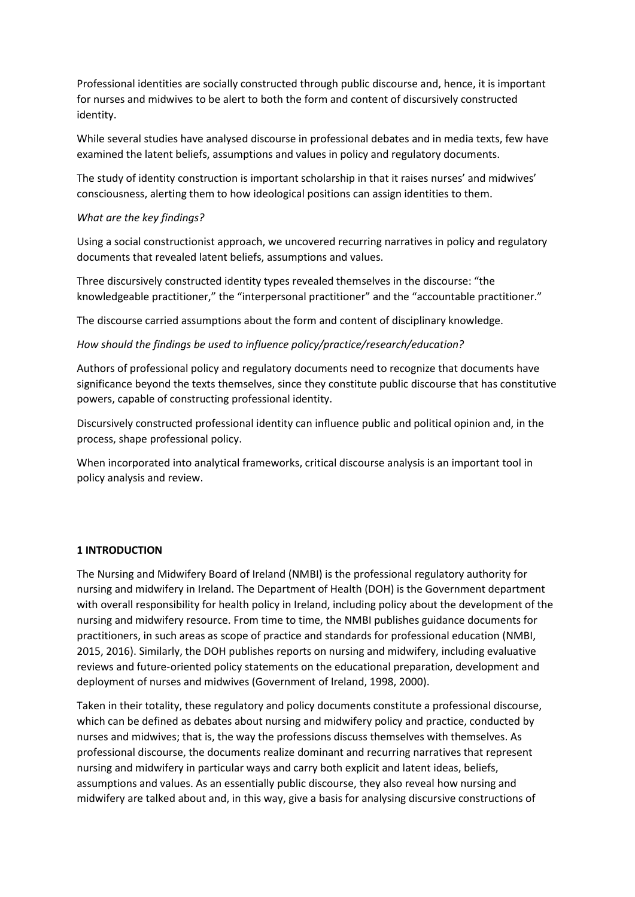Professional identities are socially constructed through public discourse and, hence, it is important for nurses and midwives to be alert to both the form and content of discursively constructed identity.

While several studies have analysed discourse in professional debates and in media texts, few have examined the latent beliefs, assumptions and values in policy and regulatory documents.

The study of identity construction is important scholarship in that it raises nurses' and midwives' consciousness, alerting them to how ideological positions can assign identities to them.

#### *What are the key findings?*

Using a social constructionist approach, we uncovered recurring narratives in policy and regulatory documents that revealed latent beliefs, assumptions and values.

Three discursively constructed identity types revealed themselves in the discourse: "the knowledgeable practitioner," the "interpersonal practitioner" and the "accountable practitioner."

The discourse carried assumptions about the form and content of disciplinary knowledge.

*How should the findings be used to influence policy/practice/research/education?*

Authors of professional policy and regulatory documents need to recognize that documents have significance beyond the texts themselves, since they constitute public discourse that has constitutive powers, capable of constructing professional identity.

Discursively constructed professional identity can influence public and political opinion and, in the process, shape professional policy.

When incorporated into analytical frameworks, critical discourse analysis is an important tool in policy analysis and review.

#### **1 INTRODUCTION**

The Nursing and Midwifery Board of Ireland (NMBI) is the professional regulatory authority for nursing and midwifery in Ireland. The Department of Health (DOH) is the Government department with overall responsibility for health policy in Ireland, including policy about the development of the nursing and midwifery resource. From time to time, the NMBI publishes guidance documents for practitioners, in such areas as scope of practice and standards for professional education (NMBI, 2015, 2016). Similarly, the DOH publishes reports on nursing and midwifery, including evaluative reviews and future‐oriented policy statements on the educational preparation, development and deployment of nurses and midwives (Government of Ireland, 1998, 2000).

Taken in their totality, these regulatory and policy documents constitute a professional discourse, which can be defined as debates about nursing and midwifery policy and practice, conducted by nurses and midwives; that is, the way the professions discuss themselves with themselves. As professional discourse, the documents realize dominant and recurring narratives that represent nursing and midwifery in particular ways and carry both explicit and latent ideas, beliefs, assumptions and values. As an essentially public discourse, they also reveal how nursing and midwifery are talked about and, in this way, give a basis for analysing discursive constructions of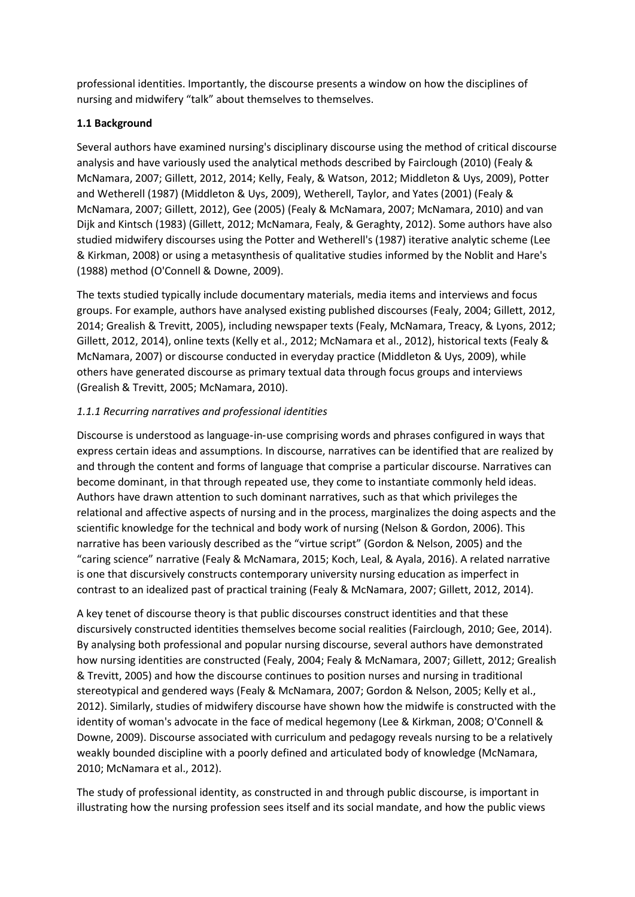professional identities. Importantly, the discourse presents a window on how the disciplines of nursing and midwifery "talk" about themselves to themselves.

# **1.1 Background**

Several authors have examined nursing's disciplinary discourse using the method of critical discourse analysis and have variously used the analytical methods described by Fairclough (2010) (Fealy & McNamara, 2007; Gillett, 2012, 2014; Kelly, Fealy, & Watson, 2012; Middleton & Uys, 2009), Potter and Wetherell (1987) (Middleton & Uys, 2009), Wetherell, Taylor, and Yates (2001) (Fealy & McNamara, 2007; Gillett, 2012), Gee (2005) (Fealy & McNamara, 2007; McNamara, 2010) and van Dijk and Kintsch (1983) (Gillett, 2012; McNamara, Fealy, & Geraghty, 2012). Some authors have also studied midwifery discourses using the Potter and Wetherell's (1987) iterative analytic scheme (Lee & Kirkman, 2008) or using a metasynthesis of qualitative studies informed by the Noblit and Hare's (1988) method (O'Connell & Downe, 2009).

The texts studied typically include documentary materials, media items and interviews and focus groups. For example, authors have analysed existing published discourses (Fealy, 2004; Gillett, 2012, 2014; Grealish & Trevitt, 2005), including newspaper texts (Fealy, McNamara, Treacy, & Lyons, 2012; Gillett, 2012, 2014), online texts (Kelly et al., 2012; McNamara et al., 2012), historical texts (Fealy & McNamara, 2007) or discourse conducted in everyday practice (Middleton & Uys, 2009), while others have generated discourse as primary textual data through focus groups and interviews (Grealish & Trevitt, 2005; McNamara, 2010).

# *1.1.1 Recurring narratives and professional identities*

Discourse is understood as language‐in‐use comprising words and phrases configured in ways that express certain ideas and assumptions. In discourse, narratives can be identified that are realized by and through the content and forms of language that comprise a particular discourse. Narratives can become dominant, in that through repeated use, they come to instantiate commonly held ideas. Authors have drawn attention to such dominant narratives, such as that which privileges the relational and affective aspects of nursing and in the process, marginalizes the doing aspects and the scientific knowledge for the technical and body work of nursing (Nelson & Gordon, 2006). This narrative has been variously described as the "virtue script" (Gordon & Nelson, 2005) and the "caring science" narrative (Fealy & McNamara, 2015; Koch, Leal, & Ayala, 2016). A related narrative is one that discursively constructs contemporary university nursing education as imperfect in contrast to an idealized past of practical training (Fealy & McNamara, 2007; Gillett, 2012, 2014).

A key tenet of discourse theory is that public discourses construct identities and that these discursively constructed identities themselves become social realities (Fairclough, 2010; Gee, 2014). By analysing both professional and popular nursing discourse, several authors have demonstrated how nursing identities are constructed (Fealy, 2004; Fealy & McNamara, 2007; Gillett, 2012; Grealish & Trevitt, 2005) and how the discourse continues to position nurses and nursing in traditional stereotypical and gendered ways (Fealy & McNamara, 2007; Gordon & Nelson, 2005; Kelly et al., 2012). Similarly, studies of midwifery discourse have shown how the midwife is constructed with the identity of woman's advocate in the face of medical hegemony (Lee & Kirkman, 2008; O'Connell & Downe, 2009). Discourse associated with curriculum and pedagogy reveals nursing to be a relatively weakly bounded discipline with a poorly defined and articulated body of knowledge (McNamara, 2010; McNamara et al., 2012).

The study of professional identity, as constructed in and through public discourse, is important in illustrating how the nursing profession sees itself and its social mandate, and how the public views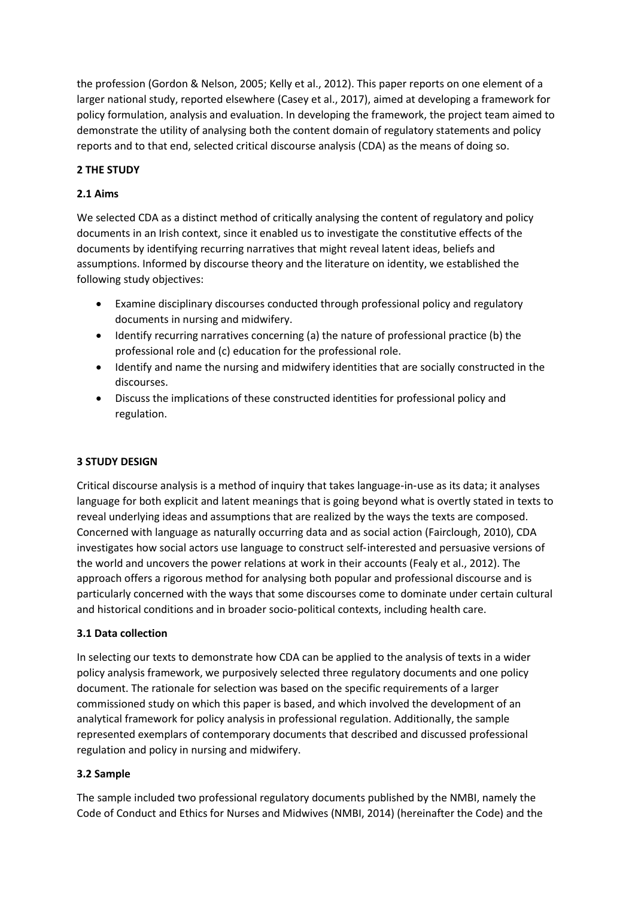the profession (Gordon & Nelson, 2005; Kelly et al., 2012). This paper reports on one element of a larger national study, reported elsewhere (Casey et al., 2017), aimed at developing a framework for policy formulation, analysis and evaluation. In developing the framework, the project team aimed to demonstrate the utility of analysing both the content domain of regulatory statements and policy reports and to that end, selected critical discourse analysis (CDA) as the means of doing so.

# **2 THE STUDY**

# **2.1 Aims**

We selected CDA as a distinct method of critically analysing the content of regulatory and policy documents in an Irish context, since it enabled us to investigate the constitutive effects of the documents by identifying recurring narratives that might reveal latent ideas, beliefs and assumptions. Informed by discourse theory and the literature on identity, we established the following study objectives:

- Examine disciplinary discourses conducted through professional policy and regulatory documents in nursing and midwifery.
- Identify recurring narratives concerning (a) the nature of professional practice (b) the professional role and (c) education for the professional role.
- Identify and name the nursing and midwifery identities that are socially constructed in the discourses.
- Discuss the implications of these constructed identities for professional policy and regulation.

# **3 STUDY DESIGN**

Critical discourse analysis is a method of inquiry that takes language‐in‐use as its data; it analyses language for both explicit and latent meanings that is going beyond what is overtly stated in texts to reveal underlying ideas and assumptions that are realized by the ways the texts are composed. Concerned with language as naturally occurring data and as social action (Fairclough, 2010), CDA investigates how social actors use language to construct self‐interested and persuasive versions of the world and uncovers the power relations at work in their accounts (Fealy et al., 2012). The approach offers a rigorous method for analysing both popular and professional discourse and is particularly concerned with the ways that some discourses come to dominate under certain cultural and historical conditions and in broader socio‐political contexts, including health care.

# **3.1 Data collection**

In selecting our texts to demonstrate how CDA can be applied to the analysis of texts in a wider policy analysis framework, we purposively selected three regulatory documents and one policy document. The rationale for selection was based on the specific requirements of a larger commissioned study on which this paper is based, and which involved the development of an analytical framework for policy analysis in professional regulation. Additionally, the sample represented exemplars of contemporary documents that described and discussed professional regulation and policy in nursing and midwifery.

# **3.2 Sample**

The sample included two professional regulatory documents published by the NMBI, namely the Code of Conduct and Ethics for Nurses and Midwives (NMBI, 2014) (hereinafter the Code) and the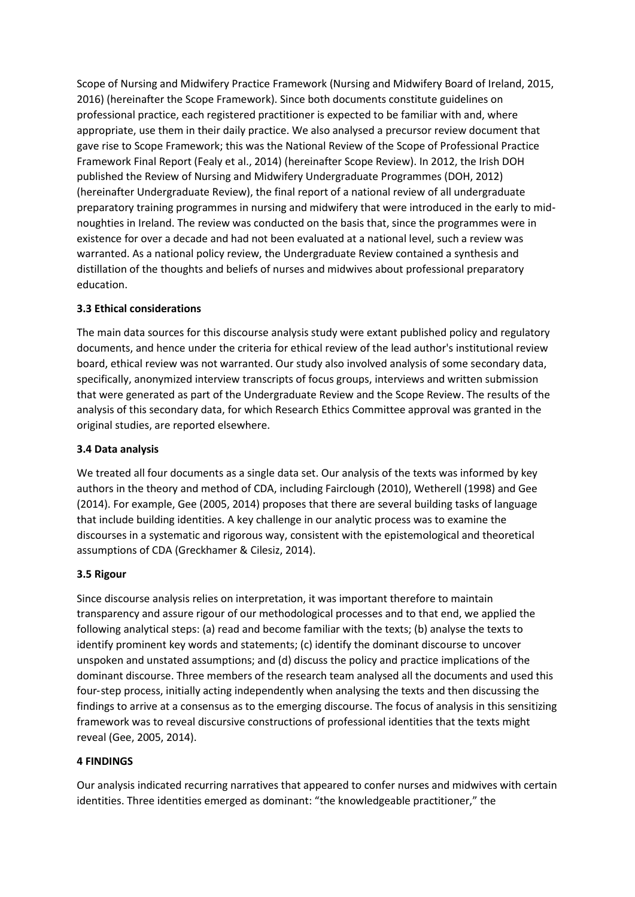Scope of Nursing and Midwifery Practice Framework (Nursing and Midwifery Board of Ireland, 2015, 2016) (hereinafter the Scope Framework). Since both documents constitute guidelines on professional practice, each registered practitioner is expected to be familiar with and, where appropriate, use them in their daily practice. We also analysed a precursor review document that gave rise to Scope Framework; this was the National Review of the Scope of Professional Practice Framework Final Report (Fealy et al., 2014) (hereinafter Scope Review). In 2012, the Irish DOH published the Review of Nursing and Midwifery Undergraduate Programmes (DOH, 2012) (hereinafter Undergraduate Review), the final report of a national review of all undergraduate preparatory training programmes in nursing and midwifery that were introduced in the early to mid‐ noughties in Ireland. The review was conducted on the basis that, since the programmes were in existence for over a decade and had not been evaluated at a national level, such a review was warranted. As a national policy review, the Undergraduate Review contained a synthesis and distillation of the thoughts and beliefs of nurses and midwives about professional preparatory education.

# **3.3 Ethical considerations**

The main data sources for this discourse analysis study were extant published policy and regulatory documents, and hence under the criteria for ethical review of the lead author's institutional review board, ethical review was not warranted. Our study also involved analysis of some secondary data, specifically, anonymized interview transcripts of focus groups, interviews and written submission that were generated as part of the Undergraduate Review and the Scope Review. The results of the analysis of this secondary data, for which Research Ethics Committee approval was granted in the original studies, are reported elsewhere.

#### **3.4 Data analysis**

We treated all four documents as a single data set. Our analysis of the texts was informed by key authors in the theory and method of CDA, including Fairclough (2010), Wetherell (1998) and Gee (2014). For example, Gee (2005, 2014) proposes that there are several building tasks of language that include building identities. A key challenge in our analytic process was to examine the discourses in a systematic and rigorous way, consistent with the epistemological and theoretical assumptions of CDA (Greckhamer & Cilesiz, 2014).

#### **3.5 Rigour**

Since discourse analysis relies on interpretation, it was important therefore to maintain transparency and assure rigour of our methodological processes and to that end, we applied the following analytical steps: (a) read and become familiar with the texts; (b) analyse the texts to identify prominent key words and statements; (c) identify the dominant discourse to uncover unspoken and unstated assumptions; and (d) discuss the policy and practice implications of the dominant discourse. Three members of the research team analysed all the documents and used this four‐step process, initially acting independently when analysing the texts and then discussing the findings to arrive at a consensus as to the emerging discourse. The focus of analysis in this sensitizing framework was to reveal discursive constructions of professional identities that the texts might reveal (Gee, 2005, 2014).

#### **4 FINDINGS**

Our analysis indicated recurring narratives that appeared to confer nurses and midwives with certain identities. Three identities emerged as dominant: "the knowledgeable practitioner," the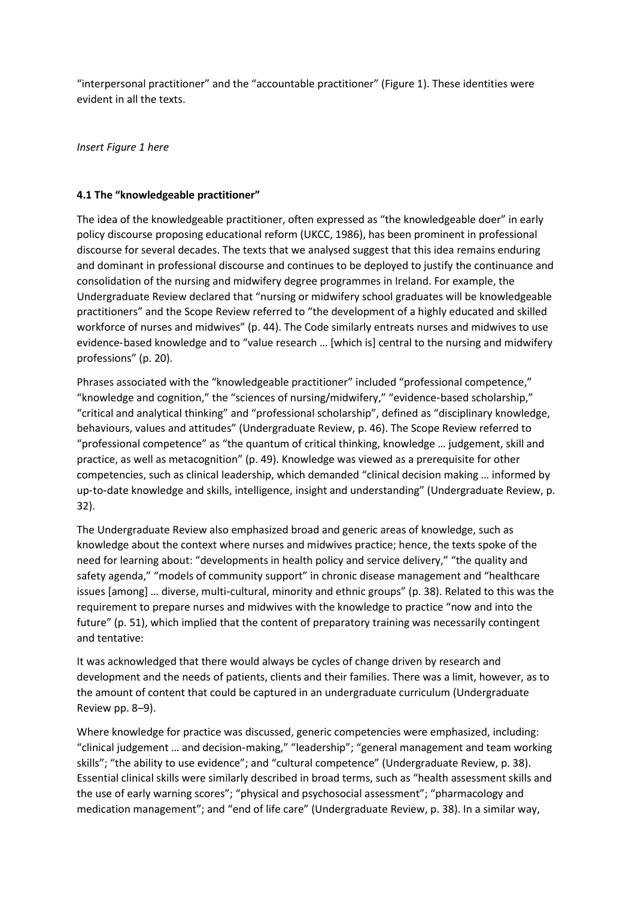"interpersonal practitioner" and the "accountable practitioner" (Figure 1). These identities were evident in all the texts.

*Insert Figure 1 here*

#### **4.1 The "knowledgeable practitioner"**

The idea of the knowledgeable practitioner, often expressed as "the knowledgeable doer" in early policy discourse proposing educational reform (UKCC, 1986), has been prominent in professional discourse for several decades. The texts that we analysed suggest that this idea remains enduring and dominant in professional discourse and continues to be deployed to justify the continuance and consolidation of the nursing and midwifery degree programmes in Ireland. For example, the Undergraduate Review declared that "nursing or midwifery school graduates will be knowledgeable practitioners" and the Scope Review referred to "the development of a highly educated and skilled workforce of nurses and midwives" (p. 44). The Code similarly entreats nurses and midwives to use evidence-based knowledge and to "value research ... [which is] central to the nursing and midwifery professions" (p. 20).

Phrases associated with the "knowledgeable practitioner" included "professional competence," "knowledge and cognition," the "sciences of nursing/midwifery," "evidence‐based scholarship," "critical and analytical thinking" and "professional scholarship", defined as "disciplinary knowledge, behaviours, values and attitudes" (Undergraduate Review, p. 46). The Scope Review referred to "professional competence" as "the quantum of critical thinking, knowledge … judgement, skill and practice, as well as metacognition" (p. 49). Knowledge was viewed as a prerequisite for other competencies, such as clinical leadership, which demanded "clinical decision making … informed by up-to-date knowledge and skills, intelligence, insight and understanding" (Undergraduate Review, p. 32).

The Undergraduate Review also emphasized broad and generic areas of knowledge, such as knowledge about the context where nurses and midwives practice; hence, the texts spoke of the need for learning about: "developments in health policy and service delivery," "the quality and safety agenda," "models of community support" in chronic disease management and "healthcare issues [among] ... diverse, multi-cultural, minority and ethnic groups" (p. 38). Related to this was the requirement to prepare nurses and midwives with the knowledge to practice "now and into the future" (p. 51), which implied that the content of preparatory training was necessarily contingent and tentative:

It was acknowledged that there would always be cycles of change driven by research and development and the needs of patients, clients and their families. There was a limit, however, as to the amount of content that could be captured in an undergraduate curriculum (Undergraduate Review pp. 8–9).

Where knowledge for practice was discussed, generic competencies were emphasized, including: "clinical judgement … and decision‐making," "leadership"; "general management and team working skills"; "the ability to use evidence"; and "cultural competence" (Undergraduate Review, p. 38). Essential clinical skills were similarly described in broad terms, such as "health assessment skills and the use of early warning scores"; "physical and psychosocial assessment"; "pharmacology and medication management"; and "end of life care" (Undergraduate Review, p. 38). In a similar way,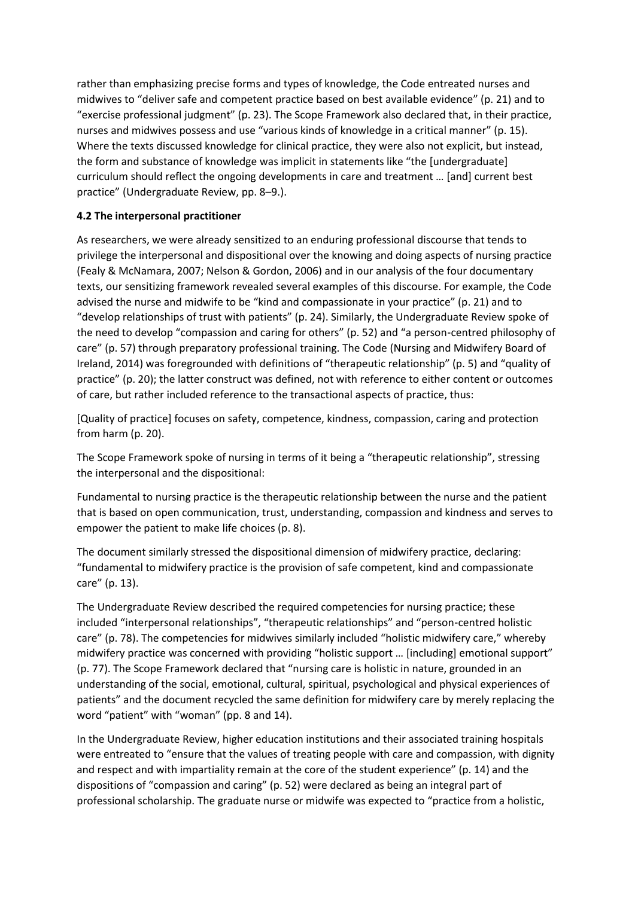rather than emphasizing precise forms and types of knowledge, the Code entreated nurses and midwives to "deliver safe and competent practice based on best available evidence" (p. 21) and to "exercise professional judgment" (p. 23). The Scope Framework also declared that, in their practice, nurses and midwives possess and use "various kinds of knowledge in a critical manner" (p. 15). Where the texts discussed knowledge for clinical practice, they were also not explicit, but instead, the form and substance of knowledge was implicit in statements like "the [undergraduate] curriculum should reflect the ongoing developments in care and treatment … [and] current best practice" (Undergraduate Review, pp. 8–9.).

# **4.2 The interpersonal practitioner**

As researchers, we were already sensitized to an enduring professional discourse that tends to privilege the interpersonal and dispositional over the knowing and doing aspects of nursing practice (Fealy & McNamara, 2007; Nelson & Gordon, 2006) and in our analysis of the four documentary texts, our sensitizing framework revealed several examples of this discourse. For example, the Code advised the nurse and midwife to be "kind and compassionate in your practice" (p. 21) and to "develop relationships of trust with patients" (p. 24). Similarly, the Undergraduate Review spoke of the need to develop "compassion and caring for others" (p. 52) and "a person-centred philosophy of care" (p. 57) through preparatory professional training. The Code (Nursing and Midwifery Board of Ireland, 2014) was foregrounded with definitions of "therapeutic relationship" (p. 5) and "quality of practice" (p. 20); the latter construct was defined, not with reference to either content or outcomes of care, but rather included reference to the transactional aspects of practice, thus:

[Quality of practice] focuses on safety, competence, kindness, compassion, caring and protection from harm (p. 20).

The Scope Framework spoke of nursing in terms of it being a "therapeutic relationship", stressing the interpersonal and the dispositional:

Fundamental to nursing practice is the therapeutic relationship between the nurse and the patient that is based on open communication, trust, understanding, compassion and kindness and serves to empower the patient to make life choices (p. 8).

The document similarly stressed the dispositional dimension of midwifery practice, declaring: "fundamental to midwifery practice is the provision of safe competent, kind and compassionate care" (p. 13).

The Undergraduate Review described the required competencies for nursing practice; these included "interpersonal relationships", "therapeutic relationships" and "person‐centred holistic care" (p. 78). The competencies for midwives similarly included "holistic midwifery care," whereby midwifery practice was concerned with providing "holistic support … [including] emotional support" (p. 77). The Scope Framework declared that "nursing care is holistic in nature, grounded in an understanding of the social, emotional, cultural, spiritual, psychological and physical experiences of patients" and the document recycled the same definition for midwifery care by merely replacing the word "patient" with "woman" (pp. 8 and 14).

In the Undergraduate Review, higher education institutions and their associated training hospitals were entreated to "ensure that the values of treating people with care and compassion, with dignity and respect and with impartiality remain at the core of the student experience" (p. 14) and the dispositions of "compassion and caring" (p. 52) were declared as being an integral part of professional scholarship. The graduate nurse or midwife was expected to "practice from a holistic,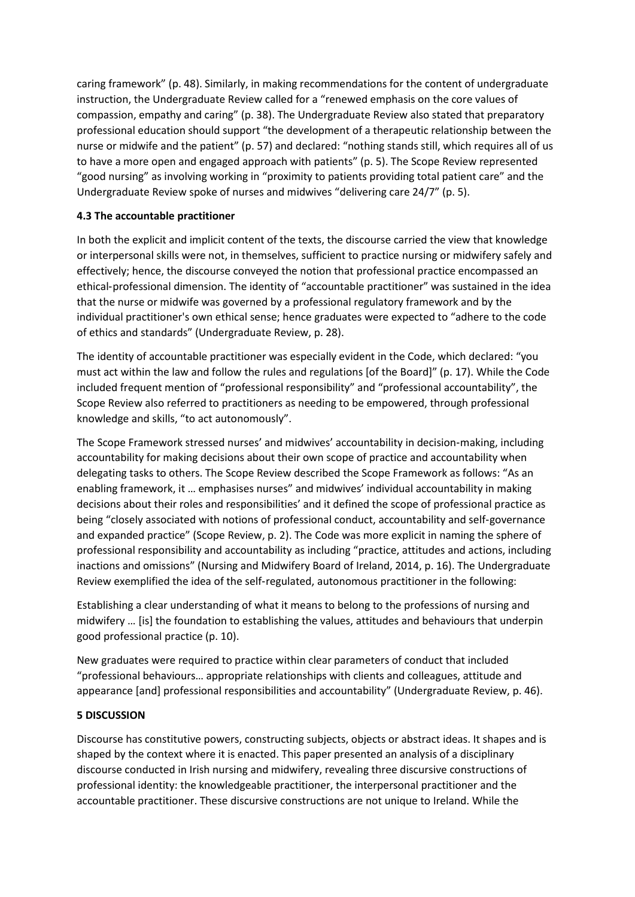caring framework" (p. 48). Similarly, in making recommendations for the content of undergraduate instruction, the Undergraduate Review called for a "renewed emphasis on the core values of compassion, empathy and caring" (p. 38). The Undergraduate Review also stated that preparatory professional education should support "the development of a therapeutic relationship between the nurse or midwife and the patient" (p. 57) and declared: "nothing stands still, which requires all of us to have a more open and engaged approach with patients" (p. 5). The Scope Review represented "good nursing" as involving working in "proximity to patients providing total patient care" and the Undergraduate Review spoke of nurses and midwives "delivering care 24/7" (p. 5).

# **4.3 The accountable practitioner**

In both the explicit and implicit content of the texts, the discourse carried the view that knowledge or interpersonal skills were not, in themselves, sufficient to practice nursing or midwifery safely and effectively; hence, the discourse conveyed the notion that professional practice encompassed an ethical-professional dimension. The identity of "accountable practitioner" was sustained in the idea that the nurse or midwife was governed by a professional regulatory framework and by the individual practitioner's own ethical sense; hence graduates were expected to "adhere to the code of ethics and standards" (Undergraduate Review, p. 28).

The identity of accountable practitioner was especially evident in the Code, which declared: "you must act within the law and follow the rules and regulations [of the Board]" (p. 17). While the Code included frequent mention of "professional responsibility" and "professional accountability", the Scope Review also referred to practitioners as needing to be empowered, through professional knowledge and skills, "to act autonomously".

The Scope Framework stressed nurses' and midwives' accountability in decision‐making, including accountability for making decisions about their own scope of practice and accountability when delegating tasks to others. The Scope Review described the Scope Framework as follows: "As an enabling framework, it … emphasises nurses" and midwives' individual accountability in making decisions about their roles and responsibilities' and it defined the scope of professional practice as being "closely associated with notions of professional conduct, accountability and self‐governance and expanded practice" (Scope Review, p. 2). The Code was more explicit in naming the sphere of professional responsibility and accountability as including "practice, attitudes and actions, including inactions and omissions" (Nursing and Midwifery Board of Ireland, 2014, p. 16). The Undergraduate Review exemplified the idea of the self-regulated, autonomous practitioner in the following:

Establishing a clear understanding of what it means to belong to the professions of nursing and midwifery … [is] the foundation to establishing the values, attitudes and behaviours that underpin good professional practice (p. 10).

New graduates were required to practice within clear parameters of conduct that included "professional behaviours… appropriate relationships with clients and colleagues, attitude and appearance [and] professional responsibilities and accountability" (Undergraduate Review, p. 46).

# **5 DISCUSSION**

Discourse has constitutive powers, constructing subjects, objects or abstract ideas. It shapes and is shaped by the context where it is enacted. This paper presented an analysis of a disciplinary discourse conducted in Irish nursing and midwifery, revealing three discursive constructions of professional identity: the knowledgeable practitioner, the interpersonal practitioner and the accountable practitioner. These discursive constructions are not unique to Ireland. While the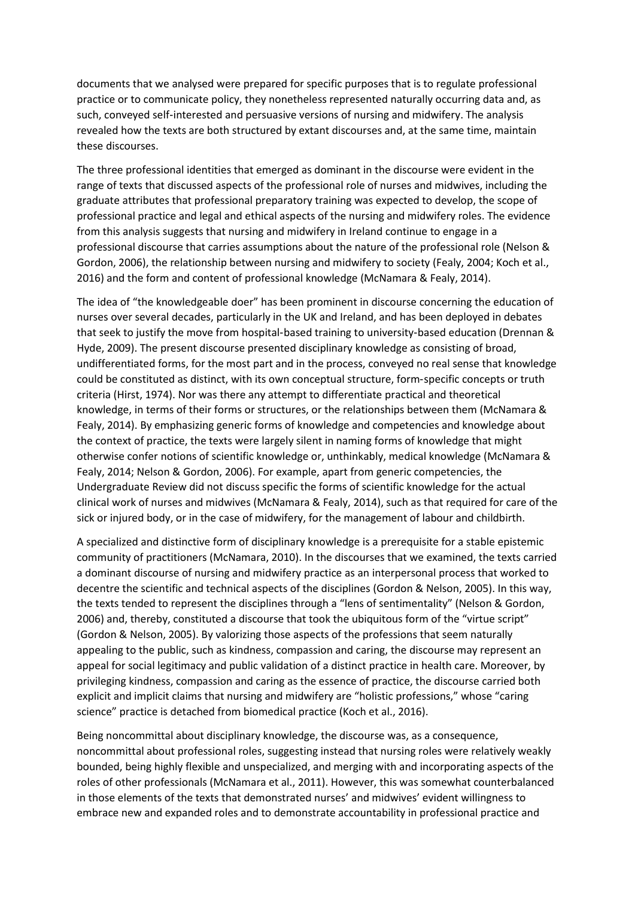documents that we analysed were prepared for specific purposes that is to regulate professional practice or to communicate policy, they nonetheless represented naturally occurring data and, as such, conveyed self‐interested and persuasive versions of nursing and midwifery. The analysis revealed how the texts are both structured by extant discourses and, at the same time, maintain these discourses.

The three professional identities that emerged as dominant in the discourse were evident in the range of texts that discussed aspects of the professional role of nurses and midwives, including the graduate attributes that professional preparatory training was expected to develop, the scope of professional practice and legal and ethical aspects of the nursing and midwifery roles. The evidence from this analysis suggests that nursing and midwifery in Ireland continue to engage in a professional discourse that carries assumptions about the nature of the professional role (Nelson & Gordon, 2006), the relationship between nursing and midwifery to society (Fealy, 2004; Koch et al., 2016) and the form and content of professional knowledge (McNamara & Fealy, 2014).

The idea of "the knowledgeable doer" has been prominent in discourse concerning the education of nurses over several decades, particularly in the UK and Ireland, and has been deployed in debates that seek to justify the move from hospital-based training to university-based education (Drennan & Hyde, 2009). The present discourse presented disciplinary knowledge as consisting of broad, undifferentiated forms, for the most part and in the process, conveyed no real sense that knowledge could be constituted as distinct, with its own conceptual structure, form‐specific concepts or truth criteria (Hirst, 1974). Nor was there any attempt to differentiate practical and theoretical knowledge, in terms of their forms or structures, or the relationships between them (McNamara & Fealy, 2014). By emphasizing generic forms of knowledge and competencies and knowledge about the context of practice, the texts were largely silent in naming forms of knowledge that might otherwise confer notions of scientific knowledge or, unthinkably, medical knowledge (McNamara & Fealy, 2014; Nelson & Gordon, 2006). For example, apart from generic competencies, the Undergraduate Review did not discuss specific the forms of scientific knowledge for the actual clinical work of nurses and midwives (McNamara & Fealy, 2014), such as that required for care of the sick or injured body, or in the case of midwifery, for the management of labour and childbirth.

A specialized and distinctive form of disciplinary knowledge is a prerequisite for a stable epistemic community of practitioners (McNamara, 2010). In the discourses that we examined, the texts carried a dominant discourse of nursing and midwifery practice as an interpersonal process that worked to decentre the scientific and technical aspects of the disciplines (Gordon & Nelson, 2005). In this way, the texts tended to represent the disciplines through a "lens of sentimentality" (Nelson & Gordon, 2006) and, thereby, constituted a discourse that took the ubiquitous form of the "virtue script" (Gordon & Nelson, 2005). By valorizing those aspects of the professions that seem naturally appealing to the public, such as kindness, compassion and caring, the discourse may represent an appeal for social legitimacy and public validation of a distinct practice in health care. Moreover, by privileging kindness, compassion and caring as the essence of practice, the discourse carried both explicit and implicit claims that nursing and midwifery are "holistic professions," whose "caring science" practice is detached from biomedical practice (Koch et al., 2016).

Being noncommittal about disciplinary knowledge, the discourse was, as a consequence, noncommittal about professional roles, suggesting instead that nursing roles were relatively weakly bounded, being highly flexible and unspecialized, and merging with and incorporating aspects of the roles of other professionals (McNamara et al., 2011). However, this was somewhat counterbalanced in those elements of the texts that demonstrated nurses' and midwives' evident willingness to embrace new and expanded roles and to demonstrate accountability in professional practice and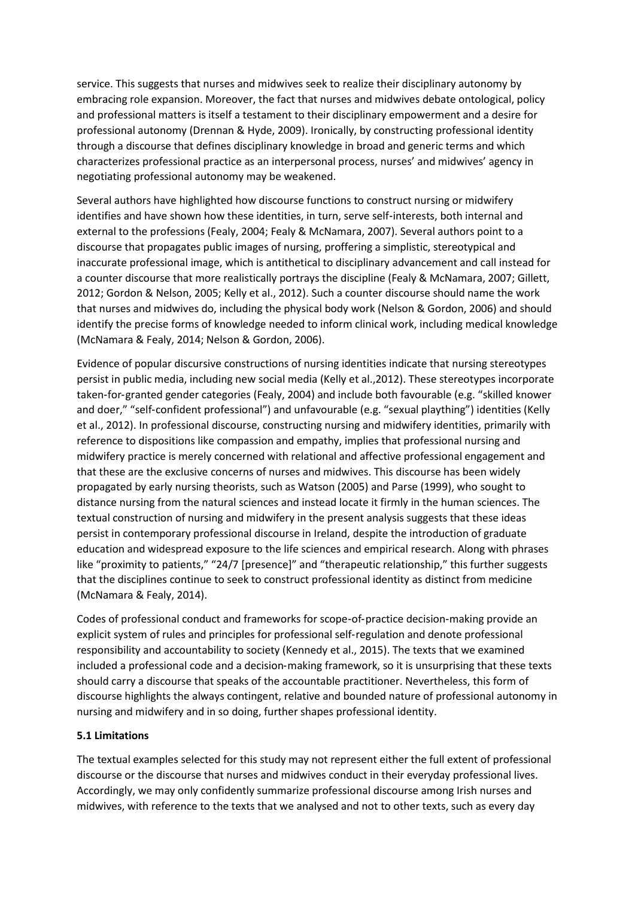service. This suggests that nurses and midwives seek to realize their disciplinary autonomy by embracing role expansion. Moreover, the fact that nurses and midwives debate ontological, policy and professional matters is itself a testament to their disciplinary empowerment and a desire for professional autonomy (Drennan & Hyde, 2009). Ironically, by constructing professional identity through a discourse that defines disciplinary knowledge in broad and generic terms and which characterizes professional practice as an interpersonal process, nurses' and midwives' agency in negotiating professional autonomy may be weakened.

Several authors have highlighted how discourse functions to construct nursing or midwifery identifies and have shown how these identities, in turn, serve self-interests, both internal and external to the professions (Fealy, 2004; Fealy & McNamara, 2007). Several authors point to a discourse that propagates public images of nursing, proffering a simplistic, stereotypical and inaccurate professional image, which is antithetical to disciplinary advancement and call instead for a counter discourse that more realistically portrays the discipline (Fealy & McNamara, 2007; Gillett, 2012; Gordon & Nelson, 2005; Kelly et al., 2012). Such a counter discourse should name the work that nurses and midwives do, including the physical body work (Nelson & Gordon, 2006) and should identify the precise forms of knowledge needed to inform clinical work, including medical knowledge (McNamara & Fealy, 2014; Nelson & Gordon, 2006).

Evidence of popular discursive constructions of nursing identities indicate that nursing stereotypes persist in public media, including new social media (Kelly et al.,2012). These stereotypes incorporate taken‐for‐granted gender categories (Fealy, 2004) and include both favourable (e.g. "skilled knower and doer," "self-confident professional") and unfavourable (e.g. "sexual plaything") identities (Kelly et al., 2012). In professional discourse, constructing nursing and midwifery identities, primarily with reference to dispositions like compassion and empathy, implies that professional nursing and midwifery practice is merely concerned with relational and affective professional engagement and that these are the exclusive concerns of nurses and midwives. This discourse has been widely propagated by early nursing theorists, such as Watson (2005) and Parse (1999), who sought to distance nursing from the natural sciences and instead locate it firmly in the human sciences. The textual construction of nursing and midwifery in the present analysis suggests that these ideas persist in contemporary professional discourse in Ireland, despite the introduction of graduate education and widespread exposure to the life sciences and empirical research. Along with phrases like "proximity to patients," "24/7 [presence]" and "therapeutic relationship," this further suggests that the disciplines continue to seek to construct professional identity as distinct from medicine (McNamara & Fealy, 2014).

Codes of professional conduct and frameworks for scope‐of‐practice decision‐making provide an explicit system of rules and principles for professional self‐regulation and denote professional responsibility and accountability to society (Kennedy et al., 2015). The texts that we examined included a professional code and a decision‐making framework, so it is unsurprising that these texts should carry a discourse that speaks of the accountable practitioner. Nevertheless, this form of discourse highlights the always contingent, relative and bounded nature of professional autonomy in nursing and midwifery and in so doing, further shapes professional identity.

# **5.1 Limitations**

The textual examples selected for this study may not represent either the full extent of professional discourse or the discourse that nurses and midwives conduct in their everyday professional lives. Accordingly, we may only confidently summarize professional discourse among Irish nurses and midwives, with reference to the texts that we analysed and not to other texts, such as every day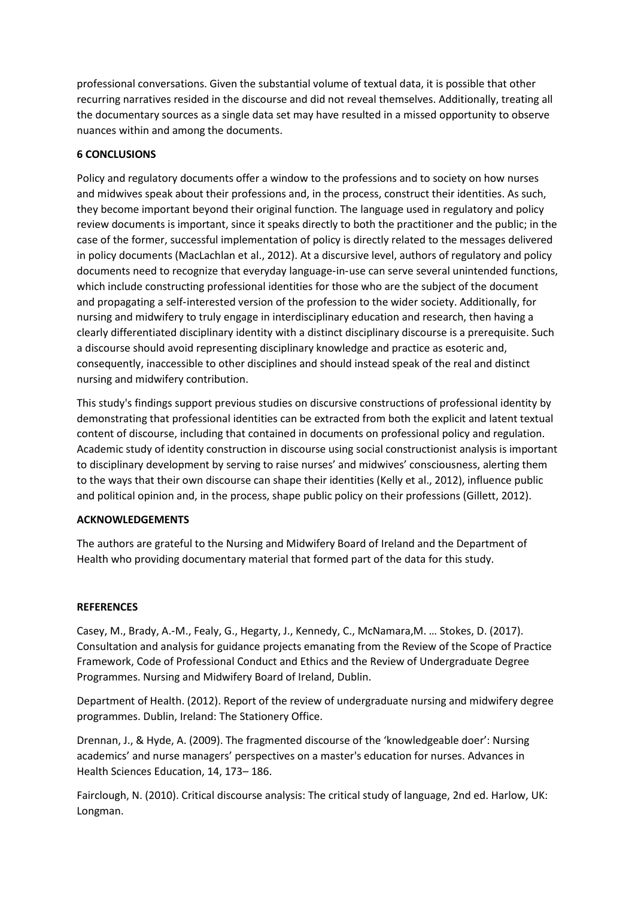professional conversations. Given the substantial volume of textual data, it is possible that other recurring narratives resided in the discourse and did not reveal themselves. Additionally, treating all the documentary sources as a single data set may have resulted in a missed opportunity to observe nuances within and among the documents.

#### **6 CONCLUSIONS**

Policy and regulatory documents offer a window to the professions and to society on how nurses and midwives speak about their professions and, in the process, construct their identities. As such, they become important beyond their original function. The language used in regulatory and policy review documents is important, since it speaks directly to both the practitioner and the public; in the case of the former, successful implementation of policy is directly related to the messages delivered in policy documents (MacLachlan et al., 2012). At a discursive level, authors of regulatory and policy documents need to recognize that everyday language‐in‐use can serve several unintended functions, which include constructing professional identities for those who are the subject of the document and propagating a self‐interested version of the profession to the wider society. Additionally, for nursing and midwifery to truly engage in interdisciplinary education and research, then having a clearly differentiated disciplinary identity with a distinct disciplinary discourse is a prerequisite. Such a discourse should avoid representing disciplinary knowledge and practice as esoteric and, consequently, inaccessible to other disciplines and should instead speak of the real and distinct nursing and midwifery contribution.

This study's findings support previous studies on discursive constructions of professional identity by demonstrating that professional identities can be extracted from both the explicit and latent textual content of discourse, including that contained in documents on professional policy and regulation. Academic study of identity construction in discourse using social constructionist analysis is important to disciplinary development by serving to raise nurses' and midwives' consciousness, alerting them to the ways that their own discourse can shape their identities (Kelly et al., 2012), influence public and political opinion and, in the process, shape public policy on their professions (Gillett, 2012).

#### **ACKNOWLEDGEMENTS**

The authors are grateful to the Nursing and Midwifery Board of Ireland and the Department of Health who providing documentary material that formed part of the data for this study.

#### **REFERENCES**

Casey, M., Brady, A.‐M., Fealy, G., Hegarty, J., Kennedy, C., McNamara,M. … Stokes, D. (2017). Consultation and analysis for guidance projects emanating from the Review of the Scope of Practice Framework, Code of Professional Conduct and Ethics and the Review of Undergraduate Degree Programmes. Nursing and Midwifery Board of Ireland, Dublin.

Department of Health. (2012). Report of the review of undergraduate nursing and midwifery degree programmes. Dublin, Ireland: The Stationery Office.

Drennan, J., & Hyde, A. (2009). The fragmented discourse of the 'knowledgeable doer': Nursing academics' and nurse managers' perspectives on a master's education for nurses. Advances in Health Sciences Education, 14, 173– 186.

Fairclough, N. (2010). Critical discourse analysis: The critical study of language, 2nd ed. Harlow, UK: Longman.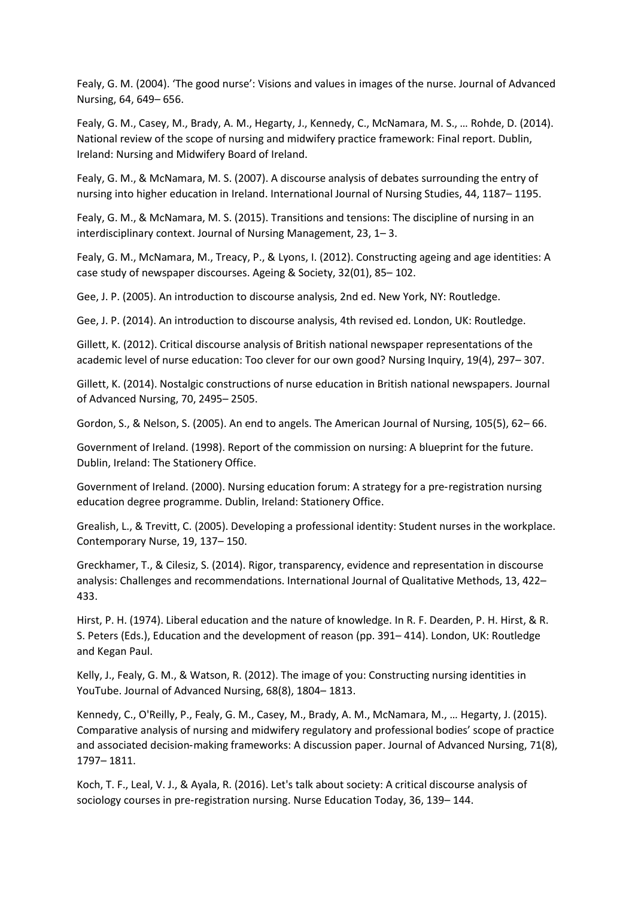Fealy, G. M. (2004). 'The good nurse': Visions and values in images of the nurse. Journal of Advanced Nursing, 64, 649– 656.

Fealy, G. M., Casey, M., Brady, A. M., Hegarty, J., Kennedy, C., McNamara, M. S., … Rohde, D. (2014). National review of the scope of nursing and midwifery practice framework: Final report. Dublin, Ireland: Nursing and Midwifery Board of Ireland.

Fealy, G. M., & McNamara, M. S. (2007). A discourse analysis of debates surrounding the entry of nursing into higher education in Ireland. International Journal of Nursing Studies, 44, 1187– 1195.

Fealy, G. M., & McNamara, M. S. (2015). Transitions and tensions: The discipline of nursing in an interdisciplinary context. Journal of Nursing Management, 23, 1– 3.

Fealy, G. M., McNamara, M., Treacy, P., & Lyons, I. (2012). Constructing ageing and age identities: A case study of newspaper discourses. Ageing & Society, 32(01), 85– 102.

Gee, J. P. (2005). An introduction to discourse analysis, 2nd ed. New York, NY: Routledge.

Gee, J. P. (2014). An introduction to discourse analysis, 4th revised ed. London, UK: Routledge.

Gillett, K. (2012). Critical discourse analysis of British national newspaper representations of the academic level of nurse education: Too clever for our own good? Nursing Inquiry, 19(4), 297– 307.

Gillett, K. (2014). Nostalgic constructions of nurse education in British national newspapers. Journal of Advanced Nursing, 70, 2495– 2505.

Gordon, S., & Nelson, S. (2005). An end to angels. The American Journal of Nursing, 105(5), 62– 66.

Government of Ireland. (1998). Report of the commission on nursing: A blueprint for the future. Dublin, Ireland: The Stationery Office.

Government of Ireland. (2000). Nursing education forum: A strategy for a pre‐registration nursing education degree programme. Dublin, Ireland: Stationery Office.

Grealish, L., & Trevitt, C. (2005). Developing a professional identity: Student nurses in the workplace. Contemporary Nurse, 19, 137– 150.

Greckhamer, T., & Cilesiz, S. (2014). Rigor, transparency, evidence and representation in discourse analysis: Challenges and recommendations. International Journal of Qualitative Methods, 13, 422– 433.

Hirst, P. H. (1974). Liberal education and the nature of knowledge. In R. F. Dearden, P. H. Hirst, & R. S. Peters (Eds.), Education and the development of reason (pp. 391– 414). London, UK: Routledge and Kegan Paul.

Kelly, J., Fealy, G. M., & Watson, R. (2012). The image of you: Constructing nursing identities in YouTube. Journal of Advanced Nursing, 68(8), 1804– 1813.

Kennedy, C., O'Reilly, P., Fealy, G. M., Casey, M., Brady, A. M., McNamara, M., … Hegarty, J. (2015). Comparative analysis of nursing and midwifery regulatory and professional bodies' scope of practice and associated decision-making frameworks: A discussion paper. Journal of Advanced Nursing, 71(8), 1797– 1811.

Koch, T. F., Leal, V. J., & Ayala, R. (2016). Let's talk about society: A critical discourse analysis of sociology courses in pre-registration nursing. Nurse Education Today, 36, 139–144.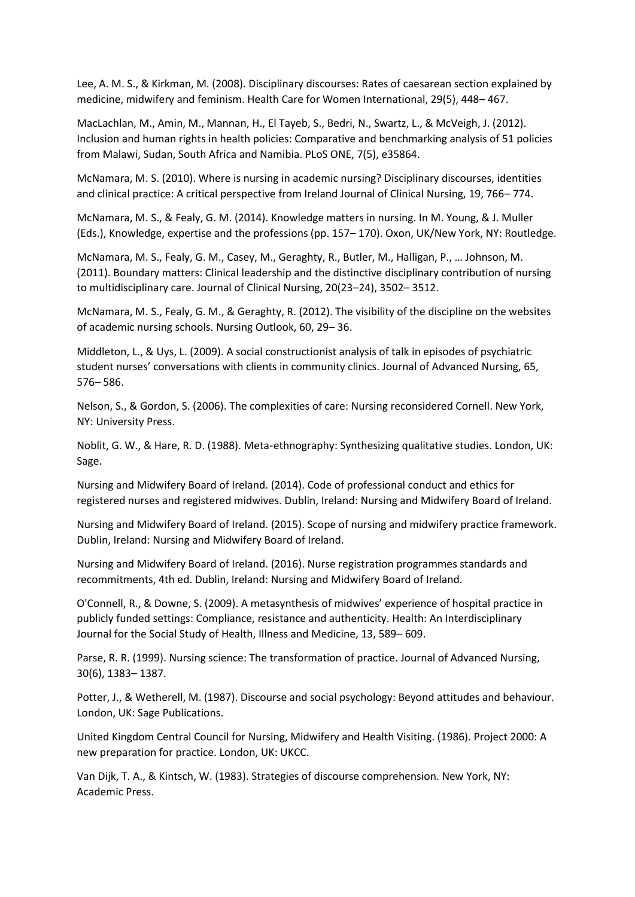Lee, A. M. S., & Kirkman, M. (2008). Disciplinary discourses: Rates of caesarean section explained by medicine, midwifery and feminism. Health Care for Women International, 29(5), 448– 467.

MacLachlan, M., Amin, M., Mannan, H., El Tayeb, S., Bedri, N., Swartz, L., & McVeigh, J. (2012). Inclusion and human rights in health policies: Comparative and benchmarking analysis of 51 policies from Malawi, Sudan, South Africa and Namibia. PLoS ONE, 7(5), e35864.

McNamara, M. S. (2010). Where is nursing in academic nursing? Disciplinary discourses, identities and clinical practice: A critical perspective from Ireland Journal of Clinical Nursing, 19, 766– 774.

McNamara, M. S., & Fealy, G. M. (2014). Knowledge matters in nursing. In M. Young, & J. Muller (Eds.), Knowledge, expertise and the professions (pp. 157– 170). Oxon, UK/New York, NY: Routledge.

McNamara, M. S., Fealy, G. M., Casey, M., Geraghty, R., Butler, M., Halligan, P., … Johnson, M. (2011). Boundary matters: Clinical leadership and the distinctive disciplinary contribution of nursing to multidisciplinary care. Journal of Clinical Nursing, 20(23–24), 3502– 3512.

McNamara, M. S., Fealy, G. M., & Geraghty, R. (2012). The visibility of the discipline on the websites of academic nursing schools. Nursing Outlook, 60, 29– 36.

Middleton, L., & Uys, L. (2009). A social constructionist analysis of talk in episodes of psychiatric student nurses' conversations with clients in community clinics. Journal of Advanced Nursing, 65, 576– 586.

Nelson, S., & Gordon, S. (2006). The complexities of care: Nursing reconsidered Cornell. New York, NY: University Press.

Noblit, G. W., & Hare, R. D. (1988). Meta‐ethnography: Synthesizing qualitative studies. London, UK: Sage.

Nursing and Midwifery Board of Ireland. (2014). Code of professional conduct and ethics for registered nurses and registered midwives. Dublin, Ireland: Nursing and Midwifery Board of Ireland.

Nursing and Midwifery Board of Ireland. (2015). Scope of nursing and midwifery practice framework. Dublin, Ireland: Nursing and Midwifery Board of Ireland.

Nursing and Midwifery Board of Ireland. (2016). Nurse registration programmes standards and recommitments, 4th ed. Dublin, Ireland: Nursing and Midwifery Board of Ireland.

O'Connell, R., & Downe, S. (2009). A metasynthesis of midwives' experience of hospital practice in publicly funded settings: Compliance, resistance and authenticity. Health: An Interdisciplinary Journal for the Social Study of Health, Illness and Medicine, 13, 589– 609.

Parse, R. R. (1999). Nursing science: The transformation of practice. Journal of Advanced Nursing, 30(6), 1383– 1387.

Potter, J., & Wetherell, M. (1987). Discourse and social psychology: Beyond attitudes and behaviour. London, UK: Sage Publications.

United Kingdom Central Council for Nursing, Midwifery and Health Visiting. (1986). Project 2000: A new preparation for practice. London, UK: UKCC.

Van Dijk, T. A., & Kintsch, W. (1983). Strategies of discourse comprehension. New York, NY: Academic Press.